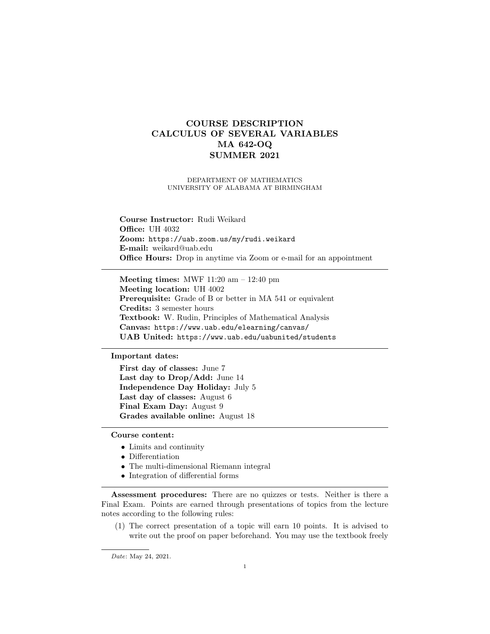## COURSE DESCRIPTION CALCULUS OF SEVERAL VARIABLES MA 642-OQ SUMMER 2021

DEPARTMENT OF MATHEMATICS UNIVERSITY OF ALABAMA AT BIRMINGHAM

Course Instructor: Rudi Weikard **Office: UH 4032** Zoom: https://uab.zoom.us/my/rudi.weikard E-mail: weikard@uab.edu Office Hours: Drop in anytime via Zoom or e-mail for an appointment

Meeting times: MWF 11:20 am – 12:40 pm Meeting location: UH 4002 Prerequisite: Grade of B or better in MA 541 or equivalent Credits: 3 semester hours Textbook: W. Rudin, Principles of Mathematical Analysis Canvas: https://www.uab.edu/elearning/canvas/ UAB United: https://www.uab.edu/uabunited/students

Important dates:

First day of classes: June 7 Last day to Drop/Add: June 14 Independence Day Holiday: July 5 Last day of classes: August 6 Final Exam Day: August 9 Grades available online: August 18

## Course content:

- Limits and continuity
- Differentiation
- The multi-dimensional Riemann integral
- Integration of differential forms

Assessment procedures: There are no quizzes or tests. Neither is there a Final Exam. Points are earned through presentations of topics from the lecture notes according to the following rules:

(1) The correct presentation of a topic will earn 10 points. It is advised to write out the proof on paper beforehand. You may use the textbook freely

Date: May 24, 2021.